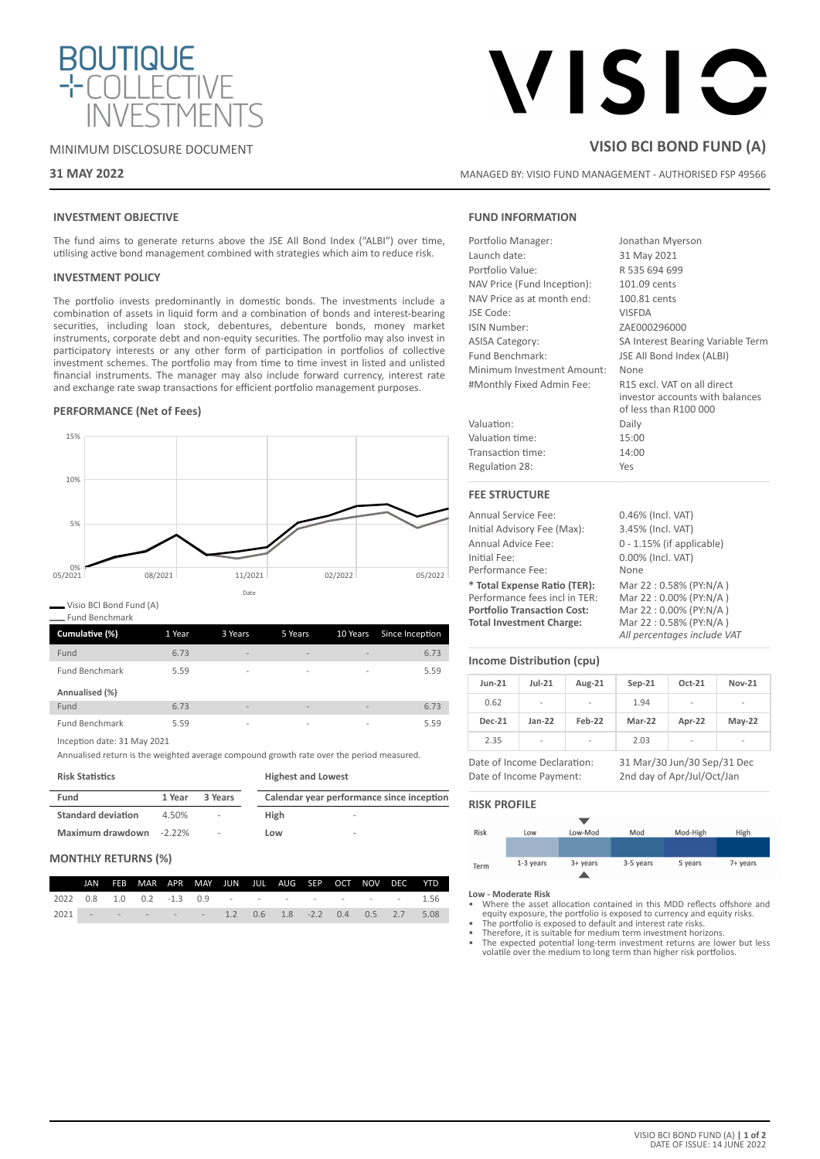

# VISIC

MANAGED BY: VISIO FUND MANAGEMENT - AUTHORISED FSP 49566

**VISIO BCI BOND FUND (A)**

# MINIMUM DISCLOSURE DOCUMENT

# **31 MAY 2022**

# **INVESTMENT OBJECTIVE**

The fund aims to generate returns above the JSE All Bond Index ("ALBI") over time, utilising active bond management combined with strategies which aim to reduce risk.

# **INVESTMENT POLICY**

The portfolio invests predominantly in domestic bonds. The investments include a combination of assets in liquid form and a combination of bonds and interest-bearing securities, including loan stock, debentures, debenture bonds, money market instruments, corporate debt and non-equity securities. The portfolio may also invest in participatory interests or any other form of participation in portfolios of collective investment schemes. The portfolio may from time to time invest in listed and unlisted financial instruments. The manager may also include forward currency, interest rate and exchange rate swap transactions for efficient portfolio management purposes.

# **PERFORMANCE (Net of Fees)**



Visio BCI Bond Fund (A)

Fund Benchmark

| Cumulative (%)        | 1 Year | 3 Years                  | 5 Years                  | 10 Years                 | Since Inception |
|-----------------------|--------|--------------------------|--------------------------|--------------------------|-----------------|
| Fund                  | 6.73   | $\overline{\phantom{a}}$ | $\overline{\phantom{a}}$ | $\overline{\phantom{a}}$ | 6.73            |
| <b>Fund Benchmark</b> | 5.59   | $\overline{\phantom{a}}$ | $\overline{\phantom{a}}$ | $\overline{\phantom{a}}$ | 5.59            |
| Annualised (%)        |        |                          |                          |                          |                 |
| Fund                  | 6.73   | $\overline{\phantom{a}}$ | $\overline{\phantom{a}}$ | $\overline{\phantom{a}}$ | 6.73            |
| <b>Fund Benchmark</b> | 5.59   | $\overline{\phantom{a}}$ | $\overline{\phantom{a}}$ | $\overline{\phantom{a}}$ | 5.59            |

Inception date: 31 May 2021

Annualised return is the weighted average compound growth rate over the period measured.

**Risk Statistics**

| <b>Risk Statistics</b>    |           |         | <b>Highest and Lowest</b>                 |  |  |  |
|---------------------------|-----------|---------|-------------------------------------------|--|--|--|
| Fund                      | 1 Year    | 3 Years | Calendar year performance since inception |  |  |  |
| <b>Standard deviation</b> | 4.50%     | ٠       | High<br>$\overline{\phantom{a}}$          |  |  |  |
| Maximum drawdown          | $-2.22\%$ | ٠       | Low<br>$\overline{\phantom{a}}$           |  |  |  |

# **MONTHLY RETURNS (%)**

|                                                  |  | JAN FEB MAR APR MAY JUN JUL AUG SEP OCT NOV DEC YTD |  |  |  |  |                                                  |
|--------------------------------------------------|--|-----------------------------------------------------|--|--|--|--|--------------------------------------------------|
|                                                  |  |                                                     |  |  |  |  | 2022 0.8 1.0 0.2 -1.3 0.9 - - - - - - - - - 1.56 |
| 2021 - - - - - 1.2 0.6 1.8 -2.2 0.4 0.5 2.7 5.08 |  |                                                     |  |  |  |  |                                                  |

# **FUND INFORMATION**

| Portfolio Manager:          | Jonathan Myerson                                                                        |
|-----------------------------|-----------------------------------------------------------------------------------------|
| Launch date:                | 31 May 2021                                                                             |
| Portfolio Value:            | R 535 694 699                                                                           |
| NAV Price (Fund Inception): | 101.09 cents                                                                            |
| NAV Price as at month end:  | 100.81 cents                                                                            |
| JSE Code:                   | <b>VISFDA</b>                                                                           |
| <b>ISIN Number:</b>         | ZAE000296000                                                                            |
| <b>ASISA Category:</b>      | SA Interest Bearing Variable Term                                                       |
| Fund Benchmark:             | JSE All Bond Index (ALBI)                                                               |
| Minimum Investment Amount:  | None                                                                                    |
| #Monthly Fixed Admin Fee:   | R15 excl. VAT on all direct<br>investor accounts with balances<br>of less than R100 000 |
| Valuation:                  | Daily                                                                                   |
| Valuation time:             | 15:00                                                                                   |
| Transaction time:           | 14:00                                                                                   |
| Regulation 28:              | Yes                                                                                     |
| <b>FEE STRUCTURE</b>        |                                                                                         |
| <b>Annual Service Fee:</b>  | 0.46% (Incl. VAT)                                                                       |
| Initial Advisory Fee (Max): | 3.45% (Incl. VAT)                                                                       |

Annual Advice Fee: 0 - 1.15% (if applicable) Initial Fee: 0.00% (Incl. VAT) Performance Fee: None **\* Total Expense Ratio (TER):** Mar 22 : 0.58% (PY:N/A ) Performance fees incl in TER: Mar 22 : 0.00% (PY:N/A)<br>**Portfolio Transaction Cost:** Mar 22 : 0.00% (PY:N/A) **Portfolio Transaction Cost:** Mar 22 : 0.00% (PY:N/A)<br>**Total Investment Charge:** Mar 22 : 0.58% (PY:N/A) **Total Investment Charge:** 

# **Income Distribution (cpu)**

| $Jun-21$      | $Jul-21$                 | Aug-21                   | $Sep-21$ | Oct-21                   | <b>Nov-21</b>            |
|---------------|--------------------------|--------------------------|----------|--------------------------|--------------------------|
| 0.62          | $\overline{\phantom{a}}$ | ۰                        | 1.94     | ۰                        | ٠                        |
| <b>Dec-21</b> | $Jan-22$                 | Feb-22                   | Mar-22   | Apr-22                   | $May-22$                 |
| 2.35          | $\overline{\phantom{a}}$ | $\overline{\phantom{a}}$ | 2.03     | $\overline{\phantom{a}}$ | $\overline{\phantom{a}}$ |

Date of Income Declaration: 31 Mar/30 Jun/30 Sep/31 Dec Date of Income Payment: 2nd day of Apr/Jul/Oct/Jan

*All percentages include VAT*

# **RISK PROFILE**

| Risk | Low       | Low-Mod  | Mod       | Mod-High | High     |
|------|-----------|----------|-----------|----------|----------|
|      |           |          |           |          |          |
|      |           |          |           |          |          |
| Term | 1-3 years | 3+ years | 3-5 years | 5 years  | 7+ years |
|      |           |          |           |          |          |

#### **Low - Moderate Risk**

• Where the asset allocation contained in this MDD reflects offshore and equity exposure, the portfolio is exposed to currency and equity risks. • The portfolio is exposed to default and interest rate risks.

- 
- Therefore, it is suitable for medium term investment horizons.

The expected potential long-term investment returns are lower but less volatile over the medium to long term than higher risk portfolios.